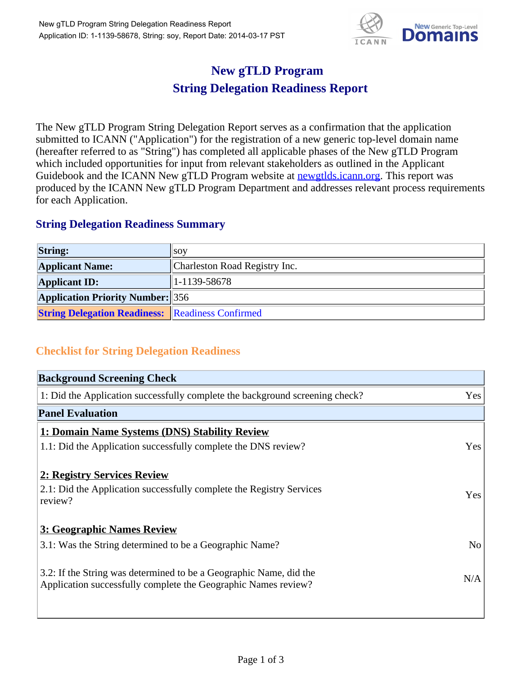

## **New gTLD Program String Delegation Readiness Report**

The New gTLD Program String Delegation Report serves as a confirmation that the application submitted to ICANN ("Application") for the registration of a new generic top-level domain name (hereafter referred to as "String") has completed all applicable phases of the New gTLD Program which included opportunities for input from relevant stakeholders as outlined in the Applicant Guidebook and the ICANN New gTLD Program website at newgtlds.icann.org. This report was produced by the ICANN New gTLD Program Department and addresses relevant process requirements for each Application.

## **String Delegation Readiness Summary**

| <b>String:</b>                                          | SOV                           |
|---------------------------------------------------------|-------------------------------|
| <b>Applicant Name:</b>                                  | Charleston Road Registry Inc. |
| <b>Applicant ID:</b>                                    | $ 1-1139-58678 $              |
| <b>Application Priority Number:</b> 356                 |                               |
| <b>String Delegation Readiness:</b> Readiness Confirmed |                               |

## **Checklist for String Delegation Readiness**

| <b>Background Screening Check</b>                                               |                |  |
|---------------------------------------------------------------------------------|----------------|--|
| 1: Did the Application successfully complete the background screening check?    | Yes            |  |
| <b>Panel Evaluation</b>                                                         |                |  |
| 1: Domain Name Systems (DNS) Stability Review                                   |                |  |
| 1.1: Did the Application successfully complete the DNS review?                  | Yes            |  |
| 2: Registry Services Review                                                     |                |  |
|                                                                                 |                |  |
| 2.1: Did the Application successfully complete the Registry Services<br>review? | <b>Yes</b>     |  |
|                                                                                 |                |  |
| 3: Geographic Names Review                                                      |                |  |
| 3.1: Was the String determined to be a Geographic Name?                         | N <sub>0</sub> |  |
| 3.2: If the String was determined to be a Geographic Name, did the              |                |  |
| Application successfully complete the Geographic Names review?                  | N/A            |  |
|                                                                                 |                |  |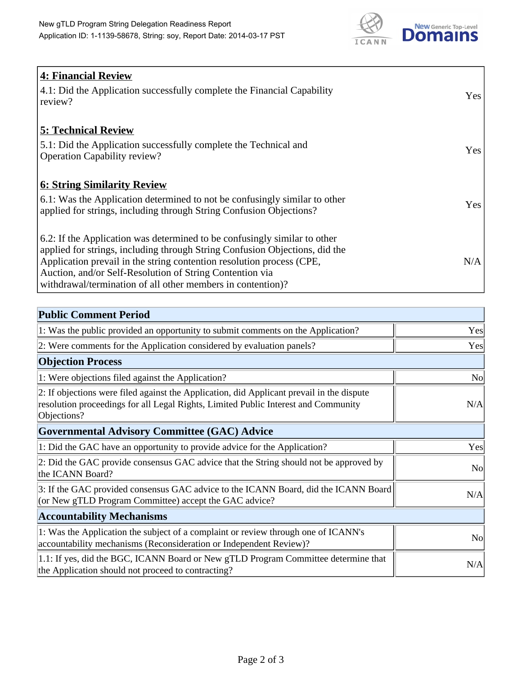

| <b>4: Financial Review</b><br>4.1: Did the Application successfully complete the Financial Capability<br>review?                                                                                                                                                                                                                                             | Yes |
|--------------------------------------------------------------------------------------------------------------------------------------------------------------------------------------------------------------------------------------------------------------------------------------------------------------------------------------------------------------|-----|
| <b>5: Technical Review</b><br>5.1: Did the Application successfully complete the Technical and<br><b>Operation Capability review?</b>                                                                                                                                                                                                                        | Yes |
| <b>6: String Similarity Review</b><br>6.1: Was the Application determined to not be confusingly similar to other<br>applied for strings, including through String Confusion Objections?                                                                                                                                                                      | Yes |
| 6.2: If the Application was determined to be confusingly similar to other<br>applied for strings, including through String Confusion Objections, did the<br>Application prevail in the string contention resolution process (CPE,<br>Auction, and/or Self-Resolution of String Contention via<br>withdrawal/termination of all other members in contention)? | N/A |

| <b>Public Comment Period</b>                                                                                                                                                                   |                |
|------------------------------------------------------------------------------------------------------------------------------------------------------------------------------------------------|----------------|
| 1: Was the public provided an opportunity to submit comments on the Application?                                                                                                               | Yes            |
| 2: Were comments for the Application considered by evaluation panels?                                                                                                                          | Yes            |
| <b>Objection Process</b>                                                                                                                                                                       |                |
| 1: Were objections filed against the Application?                                                                                                                                              | <b>No</b>      |
| 2: If objections were filed against the Application, did Applicant prevail in the dispute<br>resolution proceedings for all Legal Rights, Limited Public Interest and Community<br>Objections? | N/A            |
| <b>Governmental Advisory Committee (GAC) Advice</b>                                                                                                                                            |                |
| 1: Did the GAC have an opportunity to provide advice for the Application?                                                                                                                      | Yes            |
| 2: Did the GAC provide consensus GAC advice that the String should not be approved by<br>the ICANN Board?                                                                                      | N <sub>o</sub> |
| 3: If the GAC provided consensus GAC advice to the ICANN Board, did the ICANN Board<br>(or New gTLD Program Committee) accept the GAC advice?                                                  | N/A            |
| <b>Accountability Mechanisms</b>                                                                                                                                                               |                |
| 1: Was the Application the subject of a complaint or review through one of ICANN's<br>accountability mechanisms (Reconsideration or Independent Review)?                                       | N <sub>0</sub> |
| 1.1: If yes, did the BGC, ICANN Board or New gTLD Program Committee determine that<br>the Application should not proceed to contracting?                                                       | N/A            |